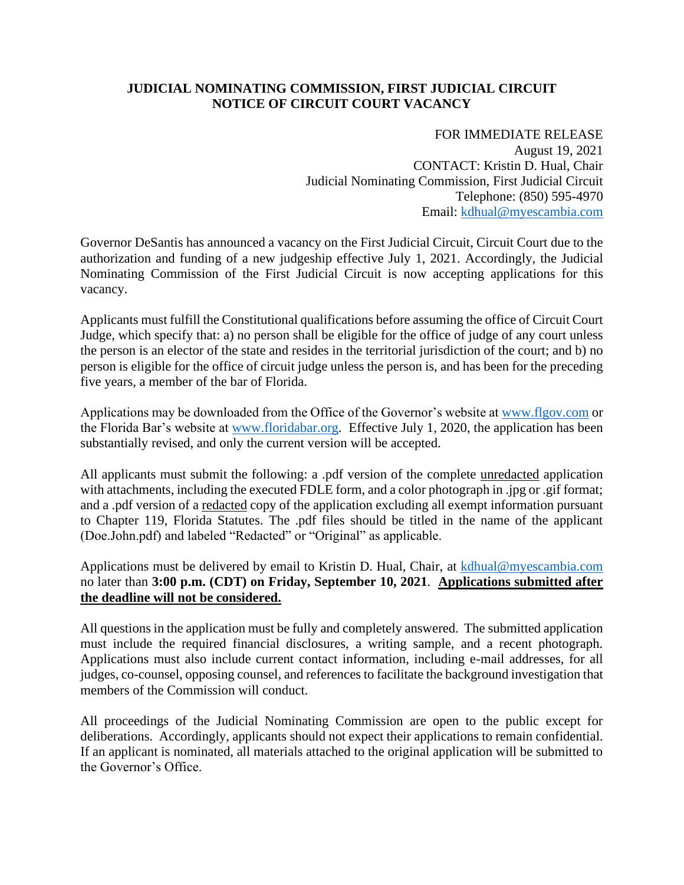## **JUDICIAL NOMINATING COMMISSION, FIRST JUDICIAL CIRCUIT NOTICE OF CIRCUIT COURT VACANCY**

FOR IMMEDIATE RELEASE August 19, 2021 CONTACT: Kristin D. Hual, Chair Judicial Nominating Commission, First Judicial Circuit Telephone: (850) 595-4970 Email: [kdhual@myescambia.com](mailto:kdhual@myescambia.com)

Governor DeSantis has announced a vacancy on the First Judicial Circuit, Circuit Court due to the authorization and funding of a new judgeship effective July 1, 2021. Accordingly, the Judicial Nominating Commission of the First Judicial Circuit is now accepting applications for this vacancy.

Applicants must fulfill the Constitutional qualifications before assuming the office of Circuit Court Judge, which specify that: a) no person shall be eligible for the office of judge of any court unless the person is an elector of the state and resides in the territorial jurisdiction of the court; and b) no person is eligible for the office of circuit judge unless the person is, and has been for the preceding five years, a member of the bar of Florida.

Applications may be downloaded from the Office of the Governor's website at [www.flgov.com](http://www.flgov.com/) or the Florida Bar's website at [www.floridabar.org.](http://www.floridabar.org/) Effective July 1, 2020, the application has been substantially revised, and only the current version will be accepted.

All applicants must submit the following: a .pdf version of the complete unredacted application with attachments, including the executed FDLE form, and a color photograph in .jpg or .gif format; and a .pdf version of a redacted copy of the application excluding all exempt information pursuant to Chapter 119, Florida Statutes. The .pdf files should be titled in the name of the applicant (Doe.John.pdf) and labeled "Redacted" or "Original" as applicable.

Applications must be delivered by email to Kristin D. Hual, Chair, at [kdhual@myescambia.com](mailto:kdhual@myescambia.com/) no later than **3:00 p.m. (CDT) on Friday, September 10, 2021**. **Applications submitted after the deadline will not be considered.**

All questions in the application must be fully and completely answered. The submitted application must include the required financial disclosures, a writing sample, and a recent photograph. Applications must also include current contact information, including e-mail addresses, for all judges, co-counsel, opposing counsel, and references to facilitate the background investigation that members of the Commission will conduct.

All proceedings of the Judicial Nominating Commission are open to the public except for deliberations. Accordingly, applicants should not expect their applications to remain confidential. If an applicant is nominated, all materials attached to the original application will be submitted to the Governor's Office.